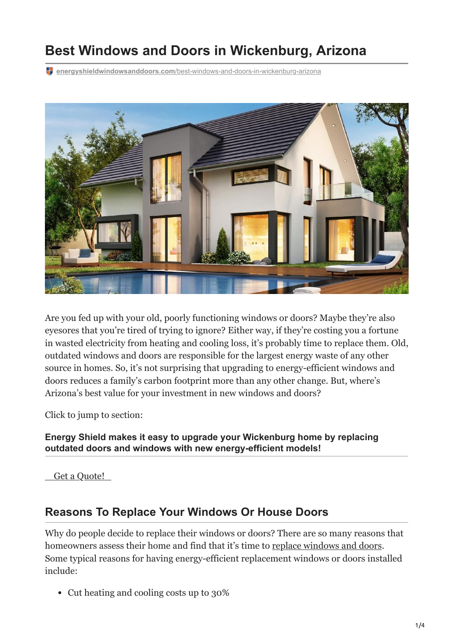# **Best Windows and Doors in Wickenburg, Arizona**

**energyshieldwindowsanddoors.com**[/best-windows-and-doors-in-wickenburg-arizona](https://energyshieldwindowsanddoors.com/best-windows-and-doors-in-wickenburg-arizona/)



Are you fed up with your old, poorly functioning windows or doors? Maybe they're also eyesores that you're tired of trying to ignore? Either way, if they're costing you a fortune in wasted electricity from heating and cooling loss, it's probably time to replace them. Old, outdated windows and doors are responsible for the largest energy waste of any other source in homes. So, it's not surprising that upgrading to energy-efficient windows and doors reduces a family's carbon footprint more than any other change. But, where's Arizona's best value for your investment in new windows and doors?

Click to jump to section:

**Energy Shield makes it easy to upgrade your Wickenburg home by replacing outdated doors and windows with new energy-efficient models!**

 [Get a Quote!](https://energyshieldwindowsanddoors.com/contact/) 

#### **Reasons To Replace Your Windows Or House Doors**

Why do people decide to replace their windows or doors? There are so many reasons that homeowners assess their home and find that it's time to [replace windows and doors](https://energyshieldwindowsanddoors.com/how-do-the-old-doors-compare-with-new-ones-on-the-market/). Some typical reasons for having energy-efficient replacement windows or doors installed include:

Cut heating and cooling costs up to 30%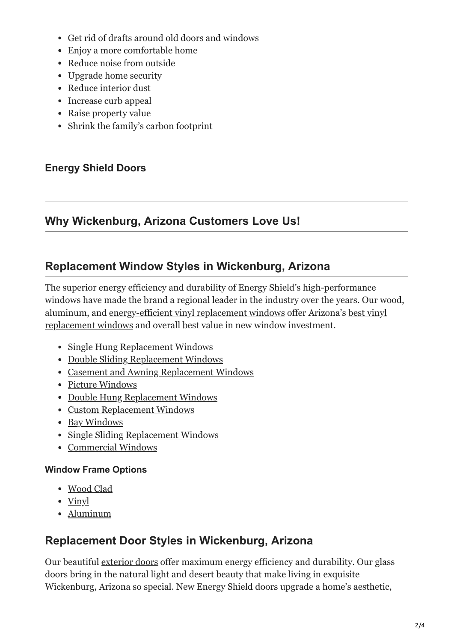- Get rid of drafts around old doors and windows
- Enjoy a more comfortable home
- Reduce noise from outside
- Upgrade home security
- Reduce interior dust
- Increase curb appeal
- Raise property value
- Shrink the family's carbon footprint

#### **Energy Shield Doors**

### **Why Wickenburg, Arizona Customers Love Us!**

### **Replacement Window Styles in Wickenburg, Arizona**

The superior energy efficiency and durability of Energy Shield's high-performance windows have made the brand a regional leader in the industry over the years. Our wood, [aluminum, and](https://energyshieldwindowsanddoors.com/which-door-frame-is-best-for-my-home-wood-vinyl-or-aluminum/) [energy-efficient vinyl replacement windows](https://energyshieldwindowsanddoors.com/vinyl-windows-arizona/) [offer Arizona's best vinyl](https://energyshieldwindowsanddoors.com/which-door-frame-is-best-for-my-home-wood-vinyl-or-aluminum/) replacement windows and overall best value in new window investment.

- [Single Hung Replacement Windows](https://energyshieldwindowsanddoors.com/single-hung-windows/)
- [Double Sliding Replacement Windows](https://energyshieldwindowsanddoors.com/double-sliding-windows/)
- [Casement and Awning Replacement Windows](https://energyshieldwindowsanddoors.com/casement-and-awning-windows/)
- [Picture Windows](https://energyshieldwindowsanddoors.com/picture-window-and-custom-shapes/)
- [Double Hung Replacement Windows](https://energyshieldwindowsanddoors.com/double-hung-windows/)
- [Custom Replacement Windows](https://energyshieldwindowsanddoors.com/picture-window-and-custom-shapes/)
- [Bay Windows](https://energyshieldwindowsanddoors.com/bay-and-bow-windows/)
- [Single Sliding Replacement Windows](https://energyshieldwindowsanddoors.com/single-sliding-windows/)
- [Commercial Windows](https://energyshieldwindowsanddoors.com/arizona-commercial-windows/)

#### **Window Frame Options**

- [Wood Clad](https://energyshieldwindowsanddoors.com/wood-clad-windows/)
- <u>[Vinyl](https://energyshieldwindowsanddoors.com/vinyl-windows-arizona/)</u>
- [Aluminum](https://energyshieldwindowsanddoors.com/aluminum-windows/)

## **Replacement Door Styles in Wickenburg, Arizona**

Our beautiful [exterior doors](https://energyshieldwindowsanddoors.com/door-replacement-arizona/) offer maximum energy efficiency and durability. Our glass doors bring in the natural light and desert beauty that make living in exquisite Wickenburg, Arizona so special. New Energy Shield doors upgrade a home's aesthetic,